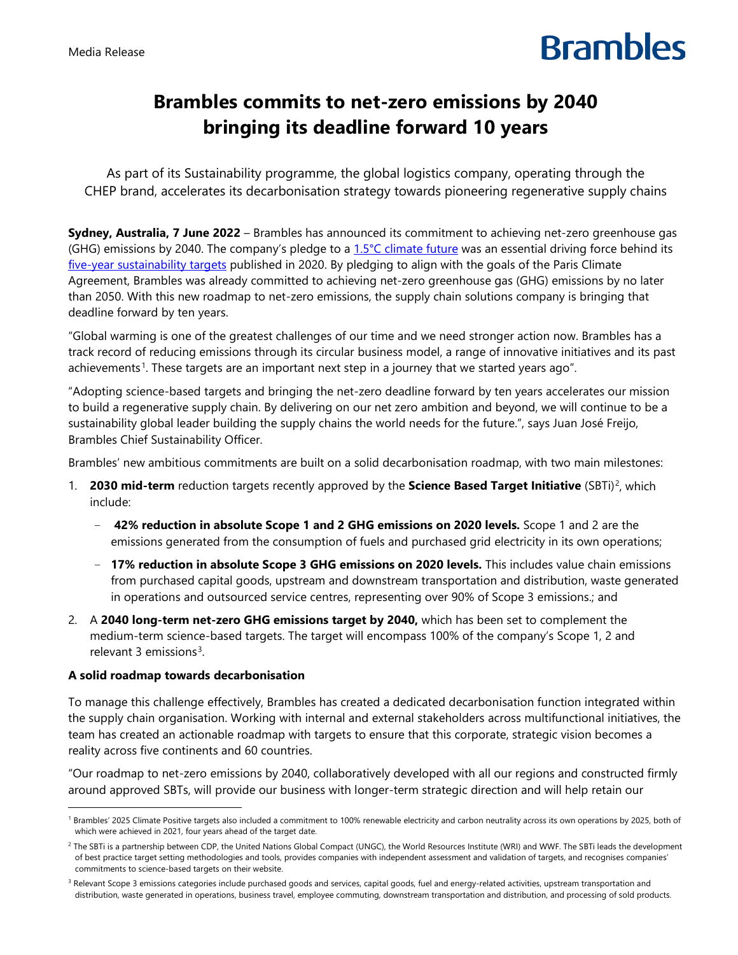# **Brambles**

## **Brambles commits to net-zero emissions by 2040 bringing its deadline forward 10 years**

As part of its Sustainability programme, the global logistics company, operating through the CHEP brand, accelerates its decarbonisation strategy towards pioneering regenerative supply chains

**Sydney, Australia, 7 June 2022** – Brambles has announced its commitment to achieving net-zero greenhouse gas (GHG) emissions by 2040. The company's pledge to a  $1.5^{\circ}$ C climate future was an essential driving force behind its five-year [sustainability targets](https://www.brambles.com/2025-sustainability-targets) published in 2020. By pledging to align with the goals of the Paris Climate Agreement, Brambles was already committed to achieving net-zero greenhouse gas (GHG) emissions by no later than 2050. With this new roadmap to net-zero emissions, the supply chain solutions company is bringing that deadline forward by ten years.

"Global warming is one of the greatest challenges of our time and we need stronger action now. Brambles has a track record of reducing emissions through its circular business model, a range of innovative initiatives and its past achievements<sup>1</sup>. These targets are an important next step in a journey that we started years ago".

"Adopting science-based targets and bringing the net-zero deadline forward by ten years accelerates our mission to build a regenerative supply chain. By delivering on our net zero ambition and beyond, we will continue to be a sustainability global leader building the supply chains the world needs for the future.", says Juan José Freijo, Brambles Chief Sustainability Officer.

Brambles' new ambitious commitments are built on a solid decarbonisation roadmap, with two main milestones:

- 1. **[2](#page-0-1)030 mid-term** reduction targets recently approved by the **Science Based Target Initiative** (SBTi)<sup>2</sup>, which include:
	- − **42% reduction in absolute Scope 1 and 2 GHG emissions on 2020 levels.** Scope 1 and 2 are the emissions generated from the consumption of fuels and purchased grid electricity in its own operations;
	- − **17% reduction in absolute Scope 3 GHG emissions on 2020 levels.** This includes value chain emissions from purchased capital goods, upstream and downstream transportation and distribution, waste generated in operations and outsourced service centres, representing over 90% of Scope 3 emissions.; and
- 2. A **2040 long-term net-zero GHG emissions target by 2040,** which has been set to complement the medium-term science-based targets. The target will encompass 100% of the company's Scope 1, 2 and relevant [3](#page-0-2) emissions<sup>3</sup>.

### **A solid roadmap towards decarbonisation**

To manage this challenge effectively, Brambles has created a dedicated decarbonisation function integrated within the supply chain organisation. Working with internal and external stakeholders across multifunctional initiatives, the team has created an actionable roadmap with targets to ensure that this corporate, strategic vision becomes a reality across five continents and 60 countries.

"Our roadmap to net-zero emissions by 2040, collaboratively developed with all our regions and constructed firmly around approved SBTs, will provide our business with longer-term strategic direction and will help retain our

<span id="page-0-0"></span><sup>&</sup>lt;sup>1</sup> Brambles' 2025 Climate Positive targets also included a commitment to 100% renewable electricity and carbon neutrality across its own operations by 2025, both of which were [achieved in 2021,](https://www.brambles.com/Content/cms/news/2021/Brambles_becomes_a_carbon_neutral_operations_company_-_23JUNE2021.pdf) four years ahead of the target date.

<span id="page-0-1"></span><sup>&</sup>lt;sup>2</sup> The SBTi is a partnership between CDP, the United Nations Global Compact (UNGC), the World Resources Institute (WRI) and WWF. The SBTi leads the development of best practice target setting methodologies and tools, provides companies with independent assessment and validation of targets, and recognises companies' commitments to science-based targets on their website.

<span id="page-0-2"></span><sup>&</sup>lt;sup>3</sup> Relevant Scope 3 emissions categories include purchased goods and services, capital goods, fuel and energy-related activities, upstream transportation and distribution, waste generated in operations, business travel, employee commuting, downstream transportation and distribution, and processing of sold products.